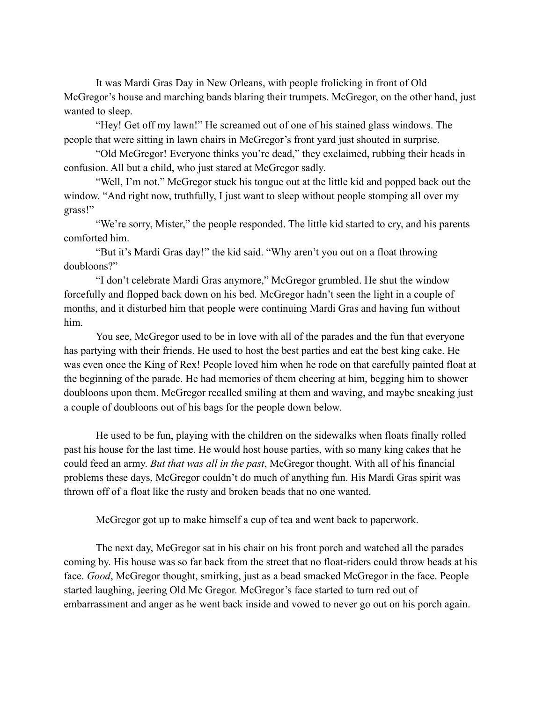It was Mardi Gras Day in New Orleans, with people frolicking in front of Old McGregor's house and marching bands blaring their trumpets. McGregor, on the other hand, just wanted to sleep.

"Hey! Get off my lawn!" He screamed out of one of his stained glass windows. The people that were sitting in lawn chairs in McGregor's front yard just shouted in surprise.

"Old McGregor! Everyone thinks you're dead," they exclaimed, rubbing their heads in confusion. All but a child, who just stared at McGregor sadly.

"Well, I'm not." McGregor stuck his tongue out at the little kid and popped back out the window. "And right now, truthfully, I just want to sleep without people stomping all over my grass!"

"We're sorry, Mister," the people responded. The little kid started to cry, and his parents comforted him.

"But it's Mardi Gras day!" the kid said. "Why aren't you out on a float throwing doubloons?"

"I don't celebrate Mardi Gras anymore," McGregor grumbled. He shut the window forcefully and flopped back down on his bed. McGregor hadn't seen the light in a couple of months, and it disturbed him that people were continuing Mardi Gras and having fun without him.

You see, McGregor used to be in love with all of the parades and the fun that everyone has partying with their friends. He used to host the best parties and eat the best king cake. He was even once the King of Rex! People loved him when he rode on that carefully painted float at the beginning of the parade. He had memories of them cheering at him, begging him to shower doubloons upon them. McGregor recalled smiling at them and waving, and maybe sneaking just a couple of doubloons out of his bags for the people down below.

He used to be fun, playing with the children on the sidewalks when floats finally rolled past his house for the last time. He would host house parties, with so many king cakes that he could feed an army. *But that was all in the past*, McGregor thought. With all of his financial problems these days, McGregor couldn't do much of anything fun. His Mardi Gras spirit was thrown off of a float like the rusty and broken beads that no one wanted.

McGregor got up to make himself a cup of tea and went back to paperwork.

The next day, McGregor sat in his chair on his front porch and watched all the parades coming by. His house was so far back from the street that no float-riders could throw beads at his face. *Good*, McGregor thought, smirking, just as a bead smacked McGregor in the face. People started laughing, jeering Old Mc Gregor. McGregor's face started to turn red out of embarrassment and anger as he went back inside and vowed to never go out on his porch again.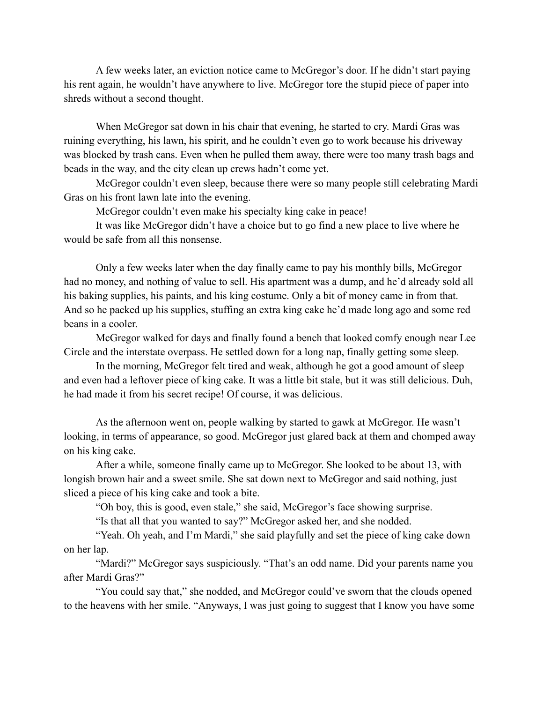A few weeks later, an eviction notice came to McGregor's door. If he didn't start paying his rent again, he wouldn't have anywhere to live. McGregor tore the stupid piece of paper into shreds without a second thought.

When McGregor sat down in his chair that evening, he started to cry. Mardi Gras was ruining everything, his lawn, his spirit, and he couldn't even go to work because his driveway was blocked by trash cans. Even when he pulled them away, there were too many trash bags and beads in the way, and the city clean up crews hadn't come yet.

McGregor couldn't even sleep, because there were so many people still celebrating Mardi Gras on his front lawn late into the evening.

McGregor couldn't even make his specialty king cake in peace!

It was like McGregor didn't have a choice but to go find a new place to live where he would be safe from all this nonsense.

Only a few weeks later when the day finally came to pay his monthly bills, McGregor had no money, and nothing of value to sell. His apartment was a dump, and he'd already sold all his baking supplies, his paints, and his king costume. Only a bit of money came in from that. And so he packed up his supplies, stuffing an extra king cake he'd made long ago and some red beans in a cooler.

McGregor walked for days and finally found a bench that looked comfy enough near Lee Circle and the interstate overpass. He settled down for a long nap, finally getting some sleep.

In the morning, McGregor felt tired and weak, although he got a good amount of sleep and even had a leftover piece of king cake. It was a little bit stale, but it was still delicious. Duh, he had made it from his secret recipe! Of course, it was delicious.

As the afternoon went on, people walking by started to gawk at McGregor. He wasn't looking, in terms of appearance, so good. McGregor just glared back at them and chomped away on his king cake.

After a while, someone finally came up to McGregor. She looked to be about 13, with longish brown hair and a sweet smile. She sat down next to McGregor and said nothing, just sliced a piece of his king cake and took a bite.

"Oh boy, this is good, even stale," she said, McGregor's face showing surprise.

"Is that all that you wanted to say?" McGregor asked her, and she nodded.

"Yeah. Oh yeah, and I'm Mardi," she said playfully and set the piece of king cake down on her lap.

"Mardi?" McGregor says suspiciously. "That's an odd name. Did your parents name you after Mardi Gras?"

"You could say that," she nodded, and McGregor could've sworn that the clouds opened to the heavens with her smile. "Anyways, I was just going to suggest that I know you have some